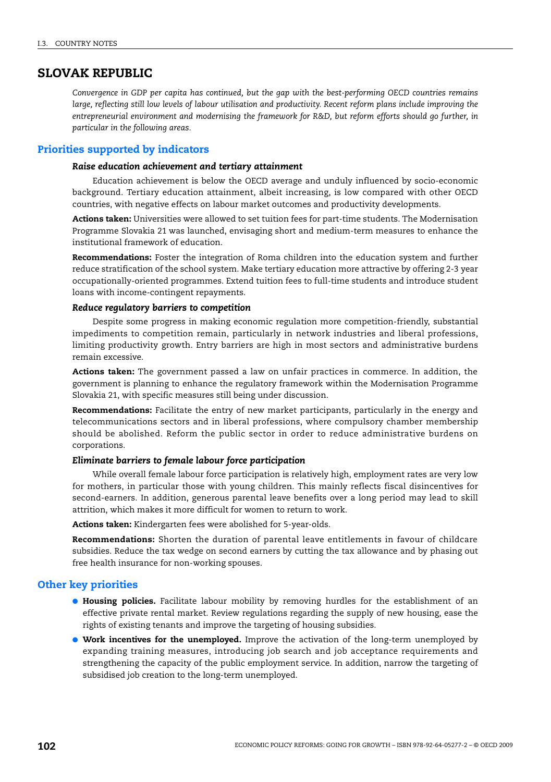## **SLOVAK REPUBLIC**

*Convergence in GDP per capita has continued, but the gap with the best-performing OECD countries remains large, reflecting still low levels of labour utilisation and productivity. Recent reform plans include improving the entrepreneurial environment and modernising the framework for R&D, but reform efforts should go further, in particular in the following areas.*

## **Priorities supported by indicators**

### *Raise education achievement and tertiary attainment*

Education achievement is below the OECD average and unduly influenced by socio-economic background. Tertiary education attainment, albeit increasing, is low compared with other OECD countries, with negative effects on labour market outcomes and productivity developments.

**Actions taken:** Universities were allowed to set tuition fees for part-time students. The Modernisation Programme Slovakia 21 was launched, envisaging short and medium-term measures to enhance the institutional framework of education.

**Recommendations:** Foster the integration of Roma children into the education system and further reduce stratification of the school system. Make tertiary education more attractive by offering 2-3 year occupationally-oriented programmes. Extend tuition fees to full-time students and introduce student loans with income-contingent repayments.

## *Reduce regulatory barriers to competition*

Despite some progress in making economic regulation more competition-friendly, substantial impediments to competition remain, particularly in network industries and liberal professions, limiting productivity growth. Entry barriers are high in most sectors and administrative burdens remain excessive.

**Actions taken:** The government passed a law on unfair practices in commerce. In addition, the government is planning to enhance the regulatory framework within the Modernisation Programme Slovakia 21, with specific measures still being under discussion.

**Recommendations:** Facilitate the entry of new market participants, particularly in the energy and telecommunications sectors and in liberal professions, where compulsory chamber membership should be abolished. Reform the public sector in order to reduce administrative burdens on corporations.

#### *Eliminate barriers to female labour force participation*

While overall female labour force participation is relatively high, employment rates are very low for mothers, in particular those with young children. This mainly reflects fiscal disincentives for second-earners. In addition, generous parental leave benefits over a long period may lead to skill attrition, which makes it more difficult for women to return to work.

**Actions taken:** Kindergarten fees were abolished for 5-year-olds.

**Recommendations:** Shorten the duration of parental leave entitlements in favour of childcare subsidies. Reduce the tax wedge on second earners by cutting the tax allowance and by phasing out free health insurance for non-working spouses.

### **Other key priorities**

- **Housing policies.** Facilitate labour mobility by removing hurdles for the establishment of an effective private rental market. Review regulations regarding the supply of new housing, ease the rights of existing tenants and improve the targeting of housing subsidies.
- **Work incentives for the unemployed.** Improve the activation of the long-term unemployed by expanding training measures, introducing job search and job acceptance requirements and strengthening the capacity of the public employment service. In addition, narrow the targeting of subsidised job creation to the long-term unemployed.